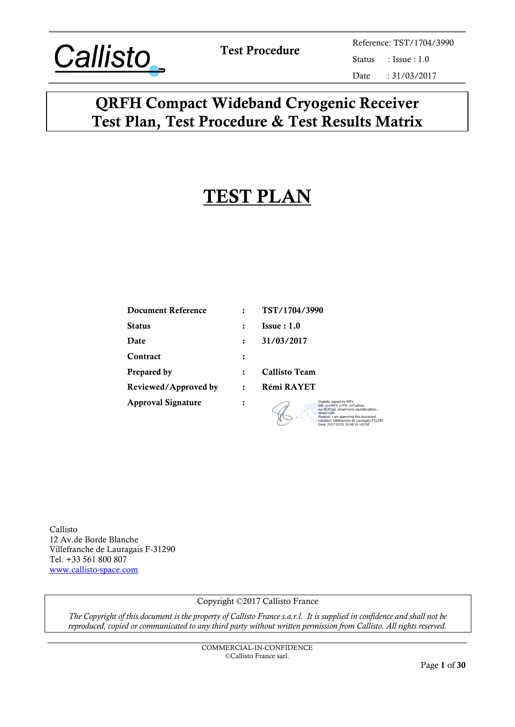

Test Procedure<br>
Status
Reference: TST/1704/3990<br>
Status
: Issue : 1.0  $: Issue : 1.0$ Date : 31/03/2017

## QRFH Compact Wideband Cryogenic Receiver Test Plan, Test Procedure & Test Results Matrix

# TEST PLAN

| <b>Document Reference</b> |   | TST/1704/3990                                                                                                  |
|---------------------------|---|----------------------------------------------------------------------------------------------------------------|
| Status                    |   | Issue:1.0                                                                                                      |
| <b>Date</b>               |   | 31/03/2017                                                                                                     |
| Contract                  | ፡ |                                                                                                                |
| Prepared by               |   | <b>Callisto Team</b>                                                                                           |
| Reviewed/Approved by      |   | Rémi RAYET                                                                                                     |
| <b>Approval Signature</b> |   | Digitally signed by RRY<br>DN: cn=RRY, c=FR, o=Callisto,<br>ou=BUCryo, email=remi.rayet@callisto-<br>space.com |

 $\sigma$ 

Reason: I am approving this document Location: Villefranche de Lauragais F31290 Date: 2017.03.31 15:06:15 +02'00'

Callisto 12 Av.de Borde Blanche Villefranche de Lauragais F-31290 Tel. +33 561 800 807 [www.callisto-space.com](http://www.callisto-space.com/)

#### Copyright ©2017 Callisto France

*The Copyright of this document is the property of Callisto France s.a.r.l. It is supplied in confidence and shall not be reproduced, copied or communicated to any third party without written permission from Callisto. All rights reserved.*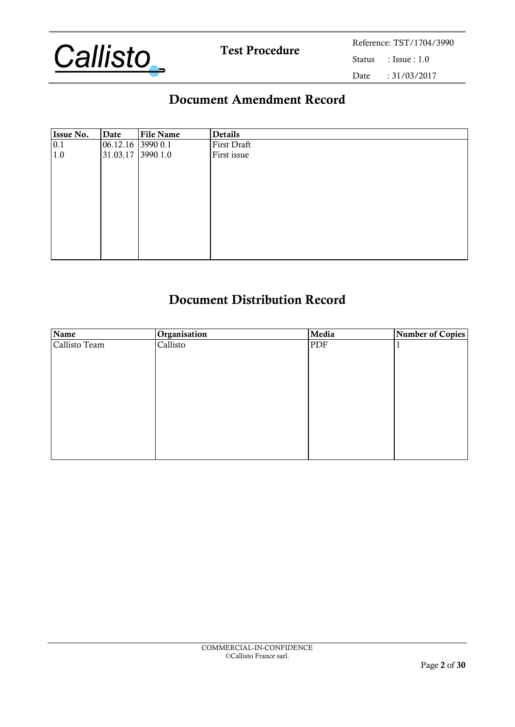

## Document Amendment Record

| <b>Issue No.</b> | Date                  | <b>File Name</b> | Details     |
|------------------|-----------------------|------------------|-------------|
| 0.1              | $ 06.12.16 $ 3990 0.1 |                  | First Draft |
| 1.0              | 31.03.17 3990 1.0     |                  | First issue |
|                  |                       |                  |             |
|                  |                       |                  |             |
|                  |                       |                  |             |
|                  |                       |                  |             |
|                  |                       |                  |             |
|                  |                       |                  |             |
|                  |                       |                  |             |
|                  |                       |                  |             |
|                  |                       |                  |             |
|                  |                       |                  |             |

## Document Distribution Record

| Name          | Organisation | Media | <b>Number of Copies</b> |
|---------------|--------------|-------|-------------------------|
| Callisto Team | Callisto     | PDF   |                         |
|               |              |       |                         |
|               |              |       |                         |
|               |              |       |                         |
|               |              |       |                         |
|               |              |       |                         |
|               |              |       |                         |
|               |              |       |                         |
|               |              |       |                         |
|               |              |       |                         |
|               |              |       |                         |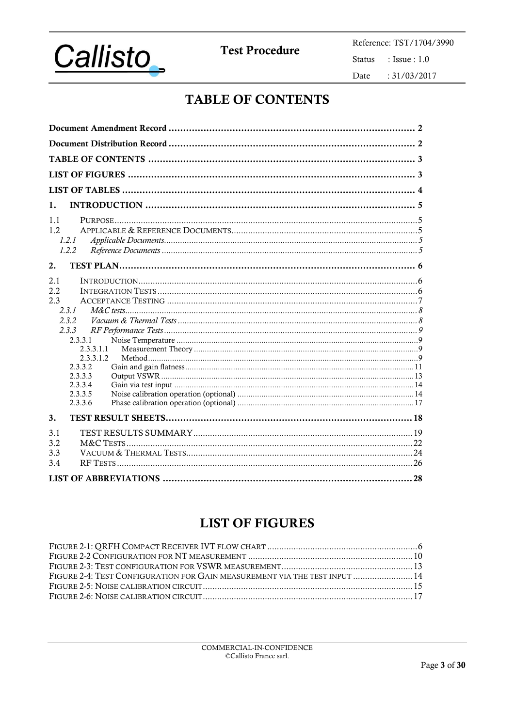

**Test Procedure** 

Reference: TST/1704/3990 Status : Issue :  $1.0\,$ Date  $: 31/03/2017$ 

## **TABLE OF CONTENTS**

| 1.                   |  |  |  |  |
|----------------------|--|--|--|--|
| 1.1                  |  |  |  |  |
| 1.2<br>1.2.1         |  |  |  |  |
| 1.2.2                |  |  |  |  |
| 2.                   |  |  |  |  |
| 2.1                  |  |  |  |  |
| 2.2                  |  |  |  |  |
| 2.3<br>2.3.1         |  |  |  |  |
| 2.3.2                |  |  |  |  |
| 2.3.3                |  |  |  |  |
| 2.3.3.1<br>2.3.3.1.1 |  |  |  |  |
| 2.3.3.1.2            |  |  |  |  |
| 2.3.3.2<br>2.3.3.3   |  |  |  |  |
| 2.3.3.4              |  |  |  |  |
| 2.3.3.5              |  |  |  |  |
| 2.3.3.6              |  |  |  |  |
| 3.                   |  |  |  |  |
| 3.1                  |  |  |  |  |
| 3.2<br>3.3           |  |  |  |  |
| 3.4                  |  |  |  |  |
|                      |  |  |  |  |

## **LIST OF FIGURES**

| FIGURE 2-4: TEST CONFIGURATION FOR GAIN MEASUREMENT VIA THE TEST INPUT  14 |  |
|----------------------------------------------------------------------------|--|
|                                                                            |  |
|                                                                            |  |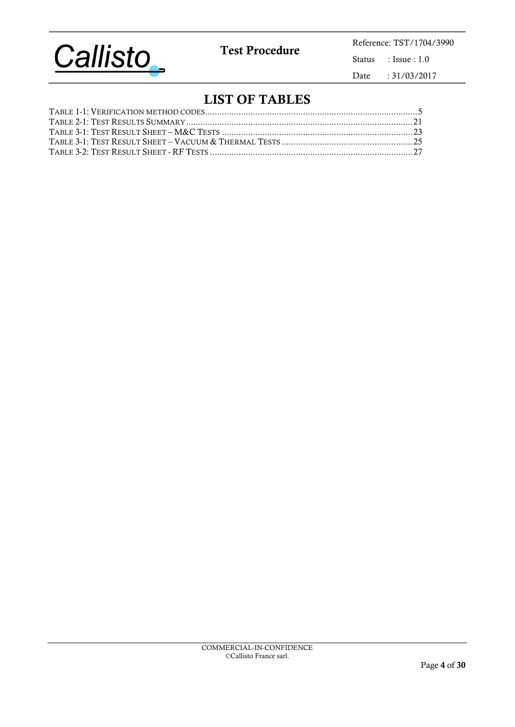

Test Procedure<br>
Status : Issue : 1.0 : Issue :  $1.0\,$ Date : 31/03/2017

## LIST OF TABLES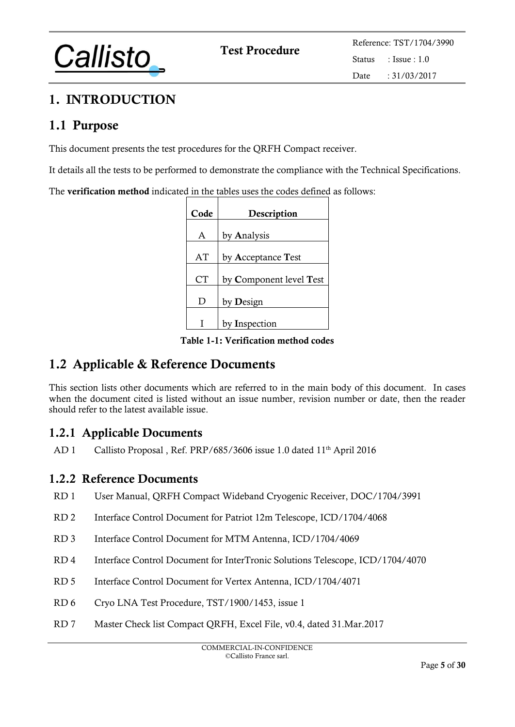

## 1. INTRODUCTION

## 1.1 Purpose

This document presents the test procedures for the QRFH Compact receiver.

It details all the tests to be performed to demonstrate the compliance with the Technical Specifications.

The **verification method** indicated in the tables uses the codes defined as follows:

| Code | Description             |  |  |  |  |  |  |  |
|------|-------------------------|--|--|--|--|--|--|--|
| A    |                         |  |  |  |  |  |  |  |
|      | by Analysis             |  |  |  |  |  |  |  |
| AT   | by Acceptance Test      |  |  |  |  |  |  |  |
| СT   | by Component level Test |  |  |  |  |  |  |  |
| D    | by <b>D</b> esign       |  |  |  |  |  |  |  |
|      | by Inspection           |  |  |  |  |  |  |  |

Table 1-1: Verification method codes

## <span id="page-4-0"></span>1.2 Applicable & Reference Documents

This section lists other documents which are referred to in the main body of this document. In cases when the document cited is listed without an issue number, revision number or date, then the reader should refer to the latest available issue.

## 1.2.1 Applicable Documents

AD 1 Callisto Proposal, Ref. PRP/685/3606 issue 1.0 dated 11<sup>th</sup> April 2016

### 1.2.2 Reference Documents

- RD 1 User Manual, QRFH Compact Wideband Cryogenic Receiver, DOC/1704/3991
- RD 2 Interface Control Document for Patriot 12m Telescope, ICD/1704/4068
- RD 3 Interface Control Document for MTM Antenna, ICD/1704/4069
- RD 4 Interface Control Document for InterTronic Solutions Telescope, ICD/1704/4070
- RD 5 Interface Control Document for Vertex Antenna, ICD/1704/4071
- <span id="page-4-2"></span>RD 6 Cryo LNA Test Procedure, TST/1900/1453, issue 1
- <span id="page-4-1"></span>RD 7 Master Check list Compact QRFH, Excel File, v0.4, dated 31.Mar.2017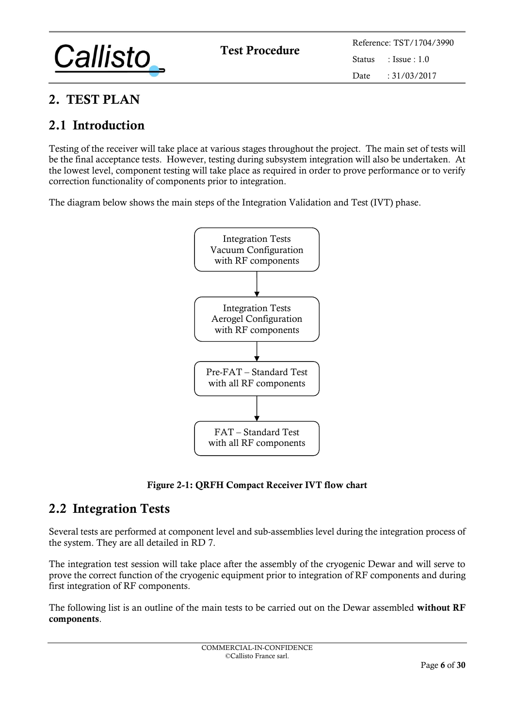

## 2. TEST PLAN

## 2.1 Introduction

Testing of the receiver will take place at various stages throughout the project. The main set of tests will be the final acceptance tests. However, testing during subsystem integration will also be undertaken. At the lowest level, component testing will take place as required in order to prove performance or to verify correction functionality of components prior to integration.

The diagram below shows the main steps of the Integration Validation and Test (IVT) phase.



Figure 2-1: QRFH Compact Receiver IVT flow chart

## 2.2 Integration Tests

Several tests are performed at component level and sub-assemblies level during the integration process of the system. They are all detailed in [RD 7.](#page-4-1)

The integration test session will take place after the assembly of the cryogenic Dewar and will serve to prove the correct function of the cryogenic equipment prior to integration of RF components and during first integration of RF components.

The following list is an outline of the main tests to be carried out on the Dewar assembled without RF components.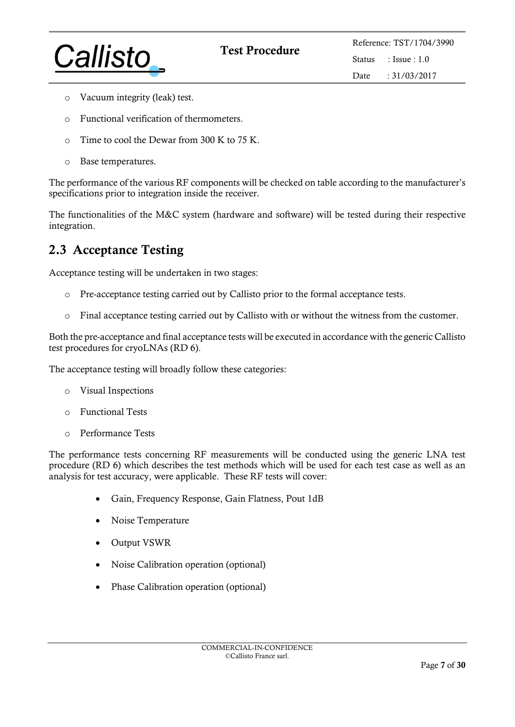

- o Vacuum integrity (leak) test.
- o Functional verification of thermometers.
- $\circ$  Time to cool the Dewar from 300 K to 75 K.
- o Base temperatures.

The performance of the various RF components will be checked on table according to the manufacturer's specifications prior to integration inside the receiver.

The functionalities of the M&C system (hardware and software) will be tested during their respective integration.

## 2.3 Acceptance Testing

Acceptance testing will be undertaken in two stages:

- o Pre-acceptance testing carried out by Callisto prior to the formal acceptance tests.
- o Final acceptance testing carried out by Callisto with or without the witness from the customer.

Both the pre-acceptance and final acceptance tests will be executed in accordance with the generic Callisto test procedures for cryoLNAs [\(RD 6\)](#page-4-2).

The acceptance testing will broadly follow these categories:

- o Visual Inspections
- o Functional Tests
- o Performance Tests

The performance tests concerning RF measurements will be conducted using the generic LNA test procedure [\(RD 6\)](#page-4-2) which describes the test methods which will be used for each test case as well as an analysis for test accuracy, were applicable. These RF tests will cover:

- Gain, Frequency Response, Gain Flatness, Pout 1dB
- Noise Temperature
- Output VSWR
- Noise Calibration operation (optional)
- Phase Calibration operation (optional)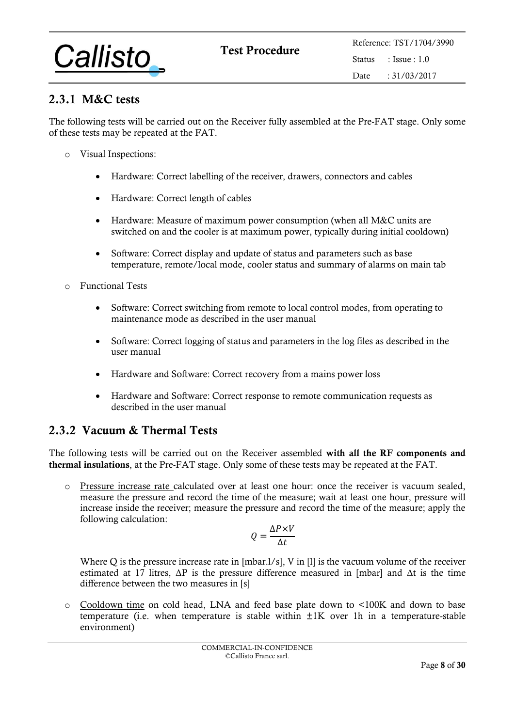

## 2.3.1 M&C tests

The following tests will be carried out on the Receiver fully assembled at the Pre-FAT stage. Only some of these tests may be repeated at the FAT.

- <span id="page-7-0"></span>o Visual Inspections:
	- Hardware: Correct labelling of the receiver, drawers, connectors and cables
	- Hardware: Correct length of cables
	- Hardware: Measure of maximum power consumption (when all M&C units are switched on and the cooler is at maximum power, typically during initial cooldown)
	- Software: Correct display and update of status and parameters such as base temperature, remote/local mode, cooler status and summary of alarms on main tab
- o Functional Tests
	- Software: Correct switching from remote to local control modes, from operating to maintenance mode as described in the user manual
	- Software: Correct logging of status and parameters in the log files as described in the user manual
	- Hardware and Software: Correct recovery from a mains power loss
	- Hardware and Software: Correct response to remote communication requests as described in the user manual

### 2.3.2 Vacuum & Thermal Tests

The following tests will be carried out on the Receiver assembled with all the RF components and thermal insulations, at the Pre-FAT stage. Only some of these tests may be repeated at the FAT.

o Pressure increase rate calculated over at least one hour: once the receiver is vacuum sealed, measure the pressure and record the time of the measure; wait at least one hour, pressure will increase inside the receiver; measure the pressure and record the time of the measure; apply the following calculation:

$$
Q = \frac{\Delta P \times V}{\Delta t}
$$

Where Q is the pressure increase rate in [mbar.1/s], V in [1] is the vacuum volume of the receiver estimated at 17 litres,  $\Delta P$  is the pressure difference measured in [mbar] and  $\Delta t$  is the time difference between the two measures in [s]

o Cooldown time on cold head, LNA and feed base plate down to <100K and down to base temperature (i.e. when temperature is stable within  $\pm 1K$  over 1h in a temperature-stable environment)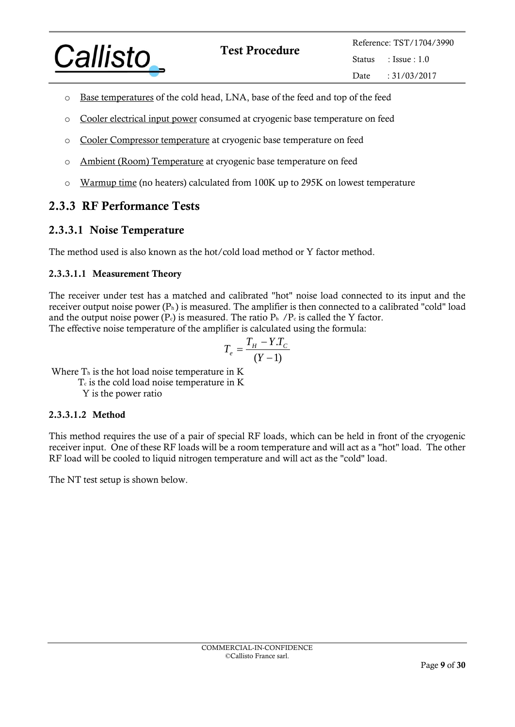<span id="page-8-1"></span><span id="page-8-0"></span>

- o Base temperatures of the cold head, LNA, base of the feed and top of the feed
- o Cooler electrical input power consumed at cryogenic base temperature on feed
- o Cooler Compressor temperature at cryogenic base temperature on feed
- o Ambient (Room) Temperature at cryogenic base temperature on feed
- o Warmup time (no heaters) calculated from 100K up to 295K on lowest temperature

## 2.3.3 RF Performance Tests

#### 2.3.3.1 Noise Temperature

The method used is also known as the hot/cold load method or Y factor method.

#### 2.3.3.1.1 Measurement Theory

The receiver under test has a matched and calibrated "hot" noise load connected to its input and the receiver output noise power  $(P_h)$  is measured. The amplifier is then connected to a calibrated "cold" load and the output noise power  $(P<sub>c</sub>)$  is measured. The ratio  $P<sub>h</sub>$  /P<sub>c</sub> is called the Y factor. The effective noise temperature of the amplifier is calculated using the formula:

$$
T_e = \frac{T_H - Y.T_C}{(Y - 1)}
$$

Where  $T<sub>h</sub>$  is the hot load noise temperature in K

T<sub>c</sub> is the cold load noise temperature in K

Y is the power ratio

#### 2.3.3.1.2 Method

This method requires the use of a pair of special RF loads, which can be held in front of the cryogenic receiver input. One of these RF loads will be a room temperature and will act as a "hot" load. The other RF load will be cooled to liquid nitrogen temperature and will act as the "cold" load.

The NT test setup is shown below.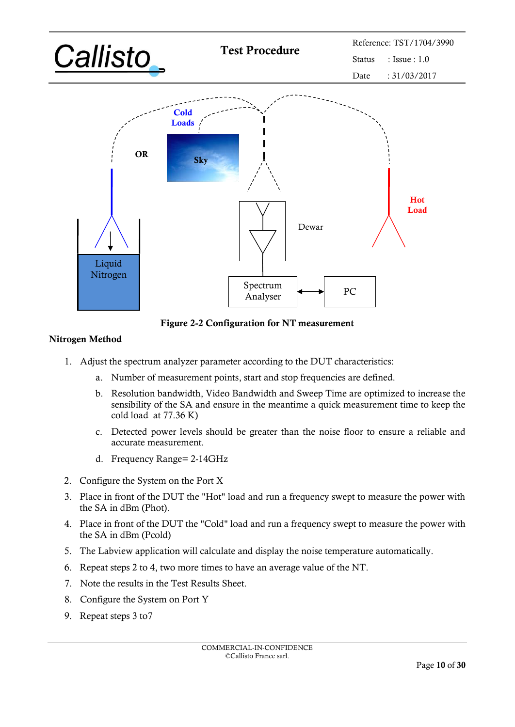

Figure 2-2 Configuration for NT measurement

#### Nitrogen Method

- 1. Adjust the spectrum analyzer parameter according to the DUT characteristics:
	- a. Number of measurement points, start and stop frequencies are defined.
	- b. Resolution bandwidth, Video Bandwidth and Sweep Time are optimized to increase the sensibility of the SA and ensure in the meantime a quick measurement time to keep the cold load at 77.36 K)
	- c. Detected power levels should be greater than the noise floor to ensure a reliable and accurate measurement.
	- d. Frequency Range= 2-14GHz
- 2. Configure the System on the Port X
- 3. Place in front of the DUT the "Hot" load and run a frequency swept to measure the power with the SA in dBm (Phot).
- 4. Place in front of the DUT the "Cold" load and run a frequency swept to measure the power with the SA in dBm (Pcold)
- 5. The Labview application will calculate and display the noise temperature automatically.
- 6. Repeat steps 2 to 4, two more times to have an average value of the NT.
- 7. Note the results in the Test Results Sheet.
- 8. Configure the System on Port Y
- 9. Repeat steps 3 to7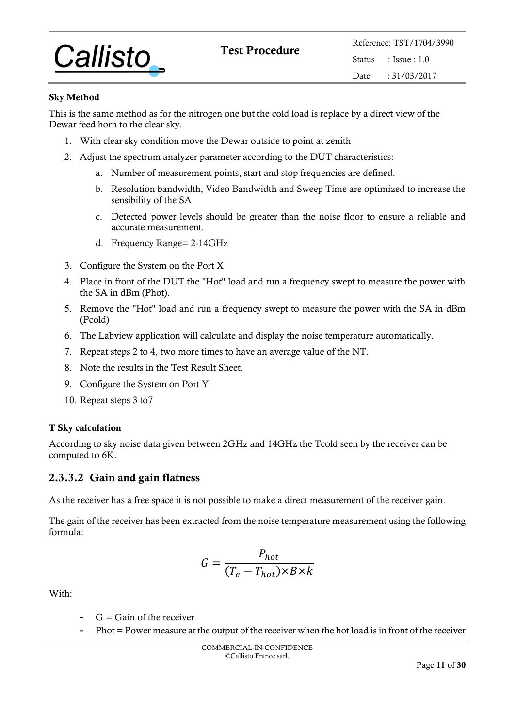

#### Sky Method

This is the same method as for the nitrogen one but the cold load is replace by a direct view of the Dewar feed horn to the clear sky.

- 1. With clear sky condition move the Dewar outside to point at zenith
- 2. Adjust the spectrum analyzer parameter according to the DUT characteristics:
	- a. Number of measurement points, start and stop frequencies are defined.
	- b. Resolution bandwidth, Video Bandwidth and Sweep Time are optimized to increase the sensibility of the SA
	- c. Detected power levels should be greater than the noise floor to ensure a reliable and accurate measurement.
	- d. Frequency Range= 2-14GHz
- <span id="page-10-0"></span>3. Configure the System on the Port X
- 4. Place in front of the DUT the "Hot" load and run a frequency swept to measure the power with the SA in dBm (Phot).
- 5. Remove the "Hot" load and run a frequency swept to measure the power with the SA in dBm (Pcold)
- 6. The Labview application will calculate and display the noise temperature automatically.
- 7. Repeat steps 2 to 4, two more times to have an average value of the NT.
- 8. Note the results in the Test Result Sheet.
- 9. Configure the System on Port Y
- 10. Repeat steps 3 to7

#### T Sky calculation

According to sky noise data given between 2GHz and 14GHz the Tcold seen by the receiver can be computed to 6K.

#### 2.3.3.2 Gain and gain flatness

As the receiver has a free space it is not possible to make a direct measurement of the receiver gain.

The gain of the receiver has been extracted from the noise temperature measurement using the following formula:

$$
G = \frac{P_{hot}}{(T_e - T_{hot}) \times B \times k}
$$

With:

- $G =$  Gain of the receiver
- Phot = Power measure at the output of the receiver when the hot load is in front of the receiver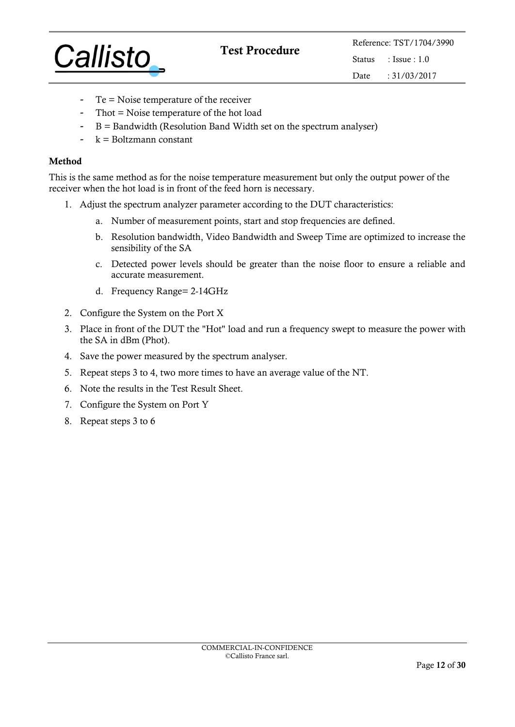

- $Te = Noise$  temperature of the receiver
- Thot = Noise temperature of the hot load
- $B =$  Bandwidth (Resolution Band Width set on the spectrum analyser)
- $k = Boltzmann constant$

#### Method

This is the same method as for the noise temperature measurement but only the output power of the receiver when the hot load is in front of the feed horn is necessary.

- 1. Adjust the spectrum analyzer parameter according to the DUT characteristics:
	- a. Number of measurement points, start and stop frequencies are defined.
	- b. Resolution bandwidth, Video Bandwidth and Sweep Time are optimized to increase the sensibility of the SA
	- c. Detected power levels should be greater than the noise floor to ensure a reliable and accurate measurement.
	- d. Frequency Range= 2-14GHz
- 2. Configure the System on the Port X
- 3. Place in front of the DUT the "Hot" load and run a frequency swept to measure the power with the SA in dBm (Phot).
- 4. Save the power measured by the spectrum analyser.
- 5. Repeat steps 3 to 4, two more times to have an average value of the NT.
- 6. Note the results in the Test Result Sheet.
- 7. Configure the System on Port Y
- 8. Repeat steps 3 to 6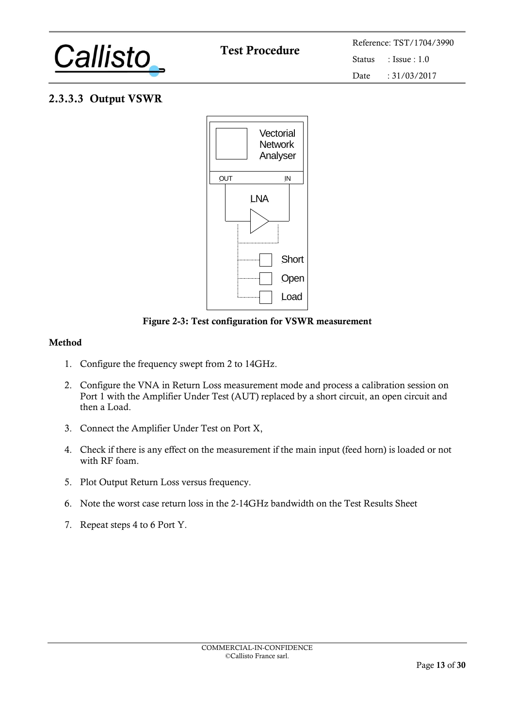<span id="page-12-0"></span>

## 2.3.3.3 Output VSWR



#### Figure 2-3: Test configuration for VSWR measurement

#### Method

- 1. Configure the frequency swept from 2 to 14GHz.
- 2. Configure the VNA in Return Loss measurement mode and process a calibration session on Port 1 with the Amplifier Under Test (AUT) replaced by a short circuit, an open circuit and then a Load.
- 3. Connect the Amplifier Under Test on Port X,
- 4. Check if there is any effect on the measurement if the main input (feed horn) is loaded or not with RF foam.
- 5. Plot Output Return Loss versus frequency.
- 6. Note the worst case return loss in the 2-14GHz bandwidth on the Test Results Sheet
- 7. Repeat steps 4 to 6 Port Y.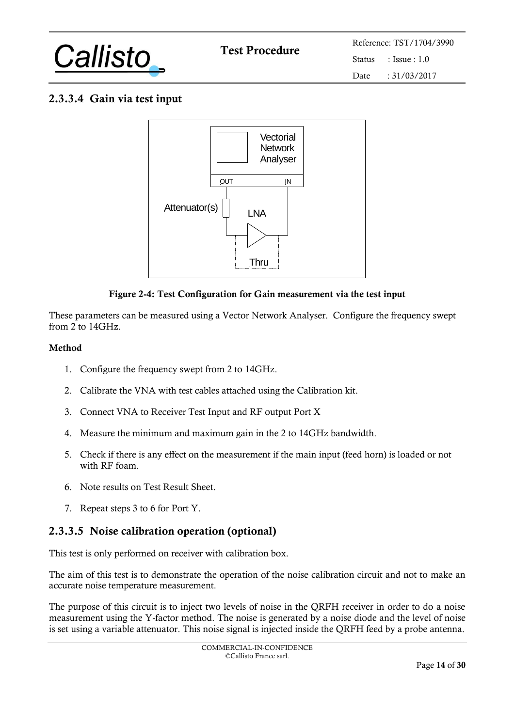<span id="page-13-0"></span>

## 2.3.3.4 Gain via test input



#### Figure 2-4: Test Configuration for Gain measurement via the test input

These parameters can be measured using a Vector Network Analyser. Configure the frequency swept from  $2$  to 14GHz.

#### Method

- 1. Configure the frequency swept from 2 to 14GHz.
- 2. Calibrate the VNA with test cables attached using the Calibration kit.
- 3. Connect VNA to Receiver Test Input and RF output Port X
- 4. Measure the minimum and maximum gain in the 2 to 14GHz bandwidth.
- 5. Check if there is any effect on the measurement if the main input (feed horn) is loaded or not with RF foam.
- 6. Note results on Test Result Sheet.
- 7. Repeat steps 3 to 6 for Port Y.

#### 2.3.3.5 Noise calibration operation (optional)

This test is only performed on receiver with calibration box.

The aim of this test is to demonstrate the operation of the noise calibration circuit and not to make an accurate noise temperature measurement.

The purpose of this circuit is to inject two levels of noise in the QRFH receiver in order to do a noise measurement using the Y-factor method. The noise is generated by a noise diode and the level of noise is set using a variable attenuator. This noise signal is injected inside the QRFH feed by a probe antenna.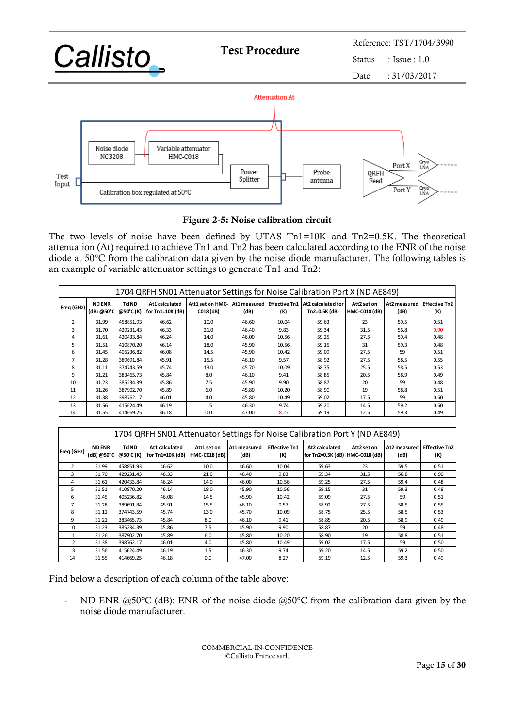

#### Figure 2-5: Noise calibration circuit

The two levels of noise have been defined by UTAS Tn1=10K and Tn2=0.5K. The theoretical attenuation (At) required to achieve Tn1 and Tn2 has been calculated according to the ENR of the noise diode at 50°C from the calibration data given by the noise diode manufacturer. The following tables is an example of variable attenuator settings to generate Tn1 and Tn2:

| 1704 QRFH SN01 Attenuator Settings for Noise Calibration Port X (ND AE849) |                             |                    |                                    |                               |       |       |                                                                |                                     |                      |                             |
|----------------------------------------------------------------------------|-----------------------------|--------------------|------------------------------------|-------------------------------|-------|-------|----------------------------------------------------------------|-------------------------------------|----------------------|-----------------------------|
| Freq (GHz)                                                                 | <b>ND ENR</b><br>(dB) @50°C | Td ND<br>@50°C (K) | At1 calculated<br>for Tn1=10K (dB) | Att1 set on HMC-<br>C018 (dB) | (dB)  | (K)   | At1 measured Effective Tn1 At2 calculated for<br>Tn2=0.5K (dB) | Att2 set on<br><b>HMC-C018 (dB)</b> | At2 measured<br>(dB) | <b>Effective Tn2</b><br>(K) |
| $\mathcal{P}$                                                              | 31.99                       | 458851.93          | 46.62                              | 10.0                          | 46.60 | 10.04 | 59.63                                                          | 23                                  | 59.5                 | 0.51                        |
| 3                                                                          | 31.70                       | 429231.43          | 46.33                              | 21.0                          | 46.40 | 9.83  | 59.34                                                          | 31.5                                | 56.8                 | 0.90                        |
| 4                                                                          | 31.61                       | 420433.84          | 46.24                              | 14.0                          | 46.00 | 10.56 | 59.25                                                          | 27.5                                | 59.4                 | 0.48                        |
| 5                                                                          | 31.51                       | 410870.20          | 46.14                              | 18.0                          | 45.90 | 10.56 | 59.15                                                          | 31                                  | 59.3                 | 0.48                        |
| 6                                                                          | 31.45                       | 405236.82          | 46.08                              | 14.5                          | 45.90 | 10.42 | 59.09                                                          | 27.5                                | 59                   | 0.51                        |
| $\overline{7}$                                                             | 31.28                       | 389691.84          | 45.91                              | 15.5                          | 46.10 | 9.57  | 58.92                                                          | 27.5                                | 58.5                 | 0.55                        |
| 8                                                                          | 31.11                       | 374743.59          | 45.74                              | 13.0                          | 45.70 | 10.09 | 58.75                                                          | 25.5                                | 58.5                 | 0.53                        |
| 9                                                                          | 31.21                       | 383465.73          | 45.84                              | 8.0                           | 46.10 | 9.41  | 58.85                                                          | 20.5                                | 58.9                 | 0.49                        |
| 10                                                                         | 31.23                       | 385234.39          | 45.86                              | 7.5                           | 45.90 | 9.90  | 58.87                                                          | 20                                  | 59                   | 0.48                        |
| 11                                                                         | 31.26                       | 387902.70          | 45.89                              | 6.0                           | 45.80 | 10.20 | 58.90                                                          | 19                                  | 58.8                 | 0.51                        |
| 12                                                                         | 31.38                       | 398762.17          | 46.01                              | 4.0                           | 45.80 | 10.49 | 59.02                                                          | 17.5                                | 59                   | 0.50                        |
| 13                                                                         | 31.56                       | 415624.49          | 46.19                              | 1.5                           | 46.30 | 9.74  | 59.20                                                          | 14.5                                | 59.2                 | 0.50                        |
| 14                                                                         | 31.55                       | 414669.25          | 46.18                              | 0.0                           | 47.00 | 8.27  | 59.19                                                          | 12.5                                | 59.3                 | 0.49                        |

|                | 1704 QRFH SN01 Attenuator Settings for Noise Calibration Port Y (ND AE849) |                    |                                    |                                     |                      |                             |                                                     |             |                      |                             |  |
|----------------|----------------------------------------------------------------------------|--------------------|------------------------------------|-------------------------------------|----------------------|-----------------------------|-----------------------------------------------------|-------------|----------------------|-----------------------------|--|
| Freq (GHz)     | <b>ND ENR</b><br>(dB) @50°C                                                | Td ND<br>@50°C (K) | At1 calculated<br>for Tn1=10K (dB) | Att1 set on<br><b>HMC-C018 (dB)</b> | At1 measured<br>(dB) | <b>Effective Tn1</b><br>(K) | At2 calculated<br>for Tn2=0.5K (dB)   HMC-C018 (dB) | Att2 set on | At2 measured<br>(dB) | <b>Effective Tn2</b><br>(K) |  |
| $\overline{2}$ | 31.99                                                                      | 458851.93          | 46.62                              | 10.0                                | 46.60                | 10.04                       | 59.63                                               | 23          | 59.5                 | 0.51                        |  |
| 3              | 31.70                                                                      | 429231.43          | 46.33                              | 21.0                                | 46.40                | 9.83                        | 59.34                                               | 31.5        | 56.8                 | 0.90                        |  |
| 4              | 31.61                                                                      | 420433.84          | 46.24                              | 14.0                                | 46.00                | 10.56                       | 59.25                                               | 27.5        | 59.4                 | 0.48                        |  |
| 5              | 31.51                                                                      | 410870.20          | 46.14                              | 18.0                                | 45.90                | 10.56                       | 59.15                                               | 31          | 59.3                 | 0.48                        |  |
| 6              | 31.45                                                                      | 405236.82          | 46.08                              | 14.5                                | 45.90                | 10.42                       | 59.09                                               | 27.5        | 59                   | 0.51                        |  |
| 7              | 31.28                                                                      | 389691.84          | 45.91                              | 15.5                                | 46.10                | 9.57                        | 58.92                                               | 27.5        | 58.5                 | 0.55                        |  |
| 8              | 31.11                                                                      | 374743.59          | 45.74                              | 13.0                                | 45.70                | 10.09                       | 58.75                                               | 25.5        | 58.5                 | 0.53                        |  |
| 9              | 31.21                                                                      | 383465.73          | 45.84                              | 8.0                                 | 46.10                | 9.41                        | 58.85                                               | 20.5        | 58.9                 | 0.49                        |  |
| 10             | 31.23                                                                      | 385234.39          | 45.86                              | 7.5                                 | 45.90                | 9.90                        | 58.87                                               | 20          | 59                   | 0.48                        |  |
| 11             | 31.26                                                                      | 387902.70          | 45.89                              | 6.0                                 | 45.80                | 10.20                       | 58.90                                               | 19          | 58.8                 | 0.51                        |  |
| 12             | 31.38                                                                      | 398762.17          | 46.01                              | 4.0                                 | 45.80                | 10.49                       | 59.02                                               | 17.5        | 59                   | 0.50                        |  |
| 13             | 31.56                                                                      | 415624.49          | 46.19                              | 1.5                                 | 46.30                | 9.74                        | 59.20                                               | 14.5        | 59.2                 | 0.50                        |  |
| 14             | 31.55                                                                      | 414669.25          | 46.18                              | 0.0                                 | 47.00                | 8.27                        | 59.19                                               | 12.5        | 59.3                 | 0.49                        |  |

Find below a description of each column of the table above:

ND ENR  $@50^{\circ}C$  (dB): ENR of the noise diode  $@50^{\circ}C$  from the calibration data given by the noise diode manufacturer.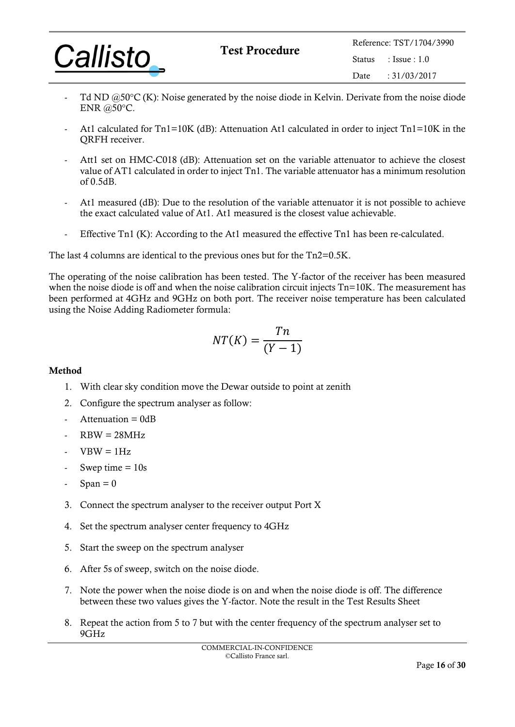|                 | <b>Test Procedure</b> |         | Reference: TST/1704/3990 |  |  |
|-----------------|-----------------------|---------|--------------------------|--|--|
| <b>Callisto</b> |                       | Status. | $\pm$ Issue $\pm 1.0$    |  |  |
|                 |                       | Date.   | $\cdot$ 31/03/2017       |  |  |

- Td ND  $@50^{\circ}$ C (K): Noise generated by the noise diode in Kelvin. Derivate from the noise diode ENR @50°C.
- At1 calculated for Tn1=10K (dB): Attenuation At1 calculated in order to inject Tn1=10K in the QRFH receiver.
- Att1 set on HMC-C018 (dB): Attenuation set on the variable attenuator to achieve the closest value of AT1 calculated in order to inject Tn1. The variable attenuator has a minimum resolution of 0.5dB.
- At1 measured (dB): Due to the resolution of the variable attenuator it is not possible to achieve the exact calculated value of At1. At1 measured is the closest value achievable.
- Effective Tn1 (K): According to the At1 measured the effective Tn1 has been re-calculated.

The last 4 columns are identical to the previous ones but for the Tn2=0.5K.

The operating of the noise calibration has been tested. The Y-factor of the receiver has been measured when the noise diode is off and when the noise calibration circuit injects Tn=10K. The measurement has been performed at 4GHz and 9GHz on both port. The receiver noise temperature has been calculated using the Noise Adding Radiometer formula:

$$
NT(K) = \frac{Tn}{(Y-1)}
$$

#### Method

- 1. With clear sky condition move the Dewar outside to point at zenith
- 2. Configure the spectrum analyser as follow:
- $Attention = 0dB$
- $RBW = 28MHz$
- $VBW = 1Hz$
- Swep time  $= 10s$
- $Span = 0$
- 3. Connect the spectrum analyser to the receiver output Port X
- 4. Set the spectrum analyser center frequency to 4GHz
- 5. Start the sweep on the spectrum analyser
- 6. After 5s of sweep, switch on the noise diode.
- 7. Note the power when the noise diode is on and when the noise diode is off. The difference between these two values gives the Y-factor. Note the result in the Test Results Sheet
- 8. Repeat the action from 5 to 7 but with the center frequency of the spectrum analyser set to 9GHz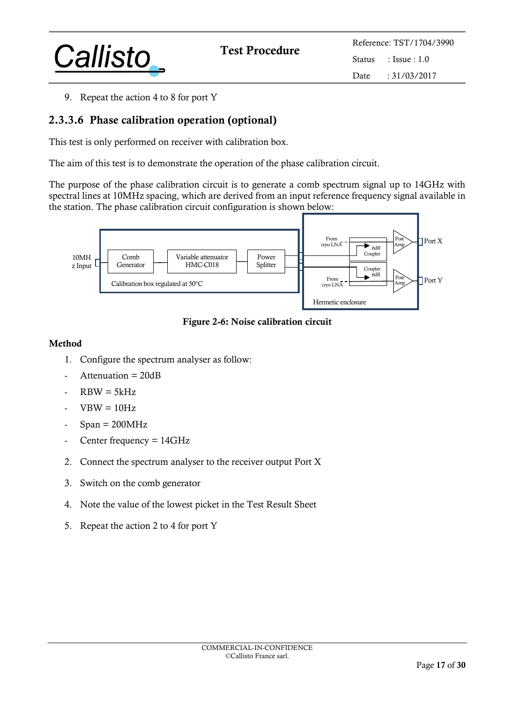

9. Repeat the action 4 to 8 for port Y

## 2.3.3.6 Phase calibration operation (optional)

This test is only performed on receiver with calibration box.

The aim of this test is to demonstrate the operation of the phase calibration circuit.

The purpose of the phase calibration circuit is to generate a comb spectrum signal up to 14GHz with spectral lines at 10MHz spacing, which are derived from an input reference frequency signal available in the station. The phase calibration circuit configuration is shown below:



Figure 2-6: Noise calibration circuit

#### Method

- 1. Configure the spectrum analyser as follow:
- $Attention = 20dB$
- $RBW = 5kHz$
- $VBW = 10Hz$
- $Span = 200MHz$
- Center frequency = 14GHz
- 2. Connect the spectrum analyser to the receiver output Port X
- 3. Switch on the comb generator
- 4. Note the value of the lowest picket in the Test Result Sheet
- 5. Repeat the action 2 to 4 for port Y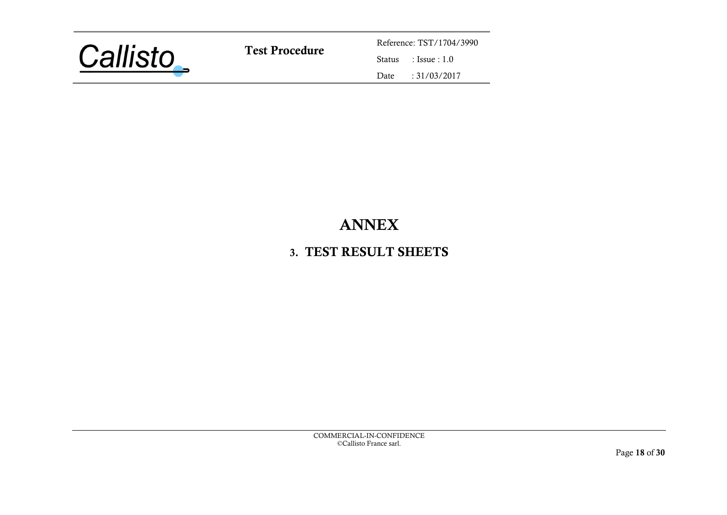

Test Procedure<br>
Status
Reference: TST/1704/3990<br>
Status
: Issue : 1.0  $: Issue : 1.0$ Date : 31/03/2017

## ANNEX

## 3. TEST RESULT SHEETS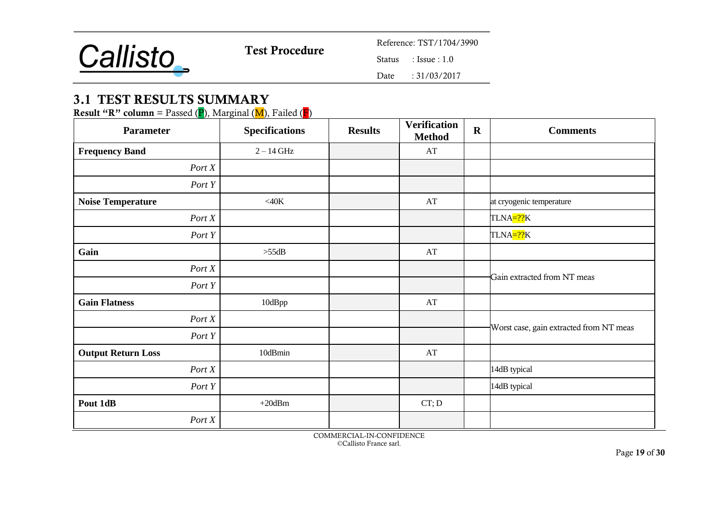

 $: Issue : 1.0$ 

Date : 31/03/2017

## 3.1 TEST RESULTS SUMMARY

**Result "R" column** = Passed  $(P)$ , Marginal  $(M)$ , Failed  $(F)$ 

| <b>Parameter</b>          | <b>Specifications</b> | <b>Results</b> | <b>Verification</b><br><b>Method</b> | $\mathbf R$ | <b>Comments</b>                         |
|---------------------------|-----------------------|----------------|--------------------------------------|-------------|-----------------------------------------|
| <b>Frequency Band</b>     | $2-14$ GHz            |                | AT                                   |             |                                         |
| Port X                    |                       |                |                                      |             |                                         |
| Port Y                    |                       |                |                                      |             |                                         |
| <b>Noise Temperature</b>  | $<$ 40 $K$            |                | AT                                   |             | at cryogenic temperature                |
| Port X                    |                       |                |                                      |             | TLNA=??K                                |
| Port Y                    |                       |                |                                      |             | TLNA=??K                                |
| Gain                      | $>55dB$               |                | $\mathbf{A}\mathbf{T}$               |             |                                         |
| Port X                    |                       |                |                                      |             | Gain extracted from NT meas             |
| Port Y                    |                       |                |                                      |             |                                         |
| <b>Gain Flatness</b>      | 10dBpp                |                | $\mathbf{A}\mathbf{T}$               |             |                                         |
| Port X                    |                       |                |                                      |             |                                         |
| Port Y                    |                       |                |                                      |             | Worst case, gain extracted from NT meas |
| <b>Output Return Loss</b> | 10dBmin               |                | $\mathbf{A}\mathbf{T}$               |             |                                         |
| Port X                    |                       |                |                                      |             | 14dB typical                            |
| Port Y                    |                       |                |                                      |             | 14dB typical                            |
| Pout 1dB                  | $+20$ dBm             |                | CT; D                                |             |                                         |
| Port X                    |                       |                |                                      |             |                                         |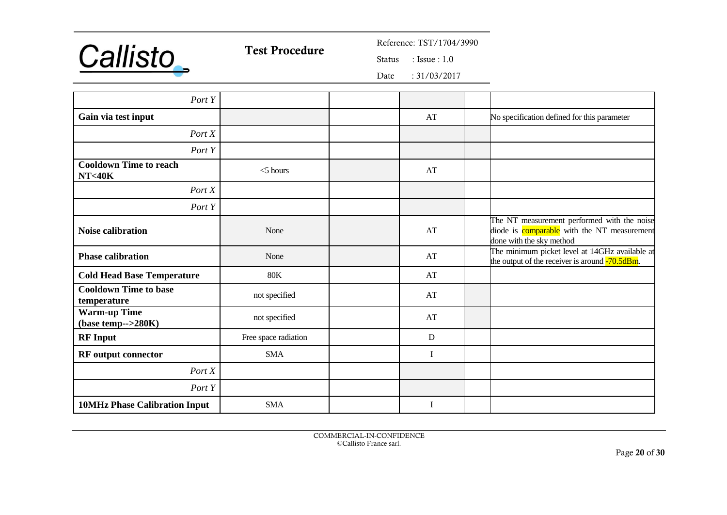

 $: Issue : 1.0$ 

Date : 31/03/2017

| Port Y                                            |                      |    |                                                                                                                               |
|---------------------------------------------------|----------------------|----|-------------------------------------------------------------------------------------------------------------------------------|
| Gain via test input                               |                      | AT | No specification defined for this parameter                                                                                   |
| Port X                                            |                      |    |                                                                                                                               |
| Port Y                                            |                      |    |                                                                                                                               |
| <b>Cooldown Time to reach</b><br><b>NT&lt;40K</b> | $<$ 5 hours          | AT |                                                                                                                               |
| Port X                                            |                      |    |                                                                                                                               |
| Port Y                                            |                      |    |                                                                                                                               |
| <b>Noise calibration</b>                          | None                 | AT | The NT measurement performed with the noise<br>diode is <b>comparable</b> with the NT measurement<br>done with the sky method |
| <b>Phase calibration</b>                          | None                 | AT | The minimum picket level at 14GHz available at<br>the output of the receiver is around -70.5dBm.                              |
| <b>Cold Head Base Temperature</b>                 | <b>80K</b>           | AT |                                                                                                                               |
| <b>Cooldown Time to base</b><br>temperature       | not specified        | AT |                                                                                                                               |
| <b>Warm-up Time</b><br>$(base temp-->280K)$       | not specified        | AT |                                                                                                                               |
| <b>RF</b> Input                                   | Free space radiation | D  |                                                                                                                               |
| <b>RF</b> output connector                        | <b>SMA</b>           | I  |                                                                                                                               |
| Port X                                            |                      |    |                                                                                                                               |
| Port Y                                            |                      |    |                                                                                                                               |
| <b>10MHz Phase Calibration Input</b>              | <b>SMA</b>           | I  |                                                                                                                               |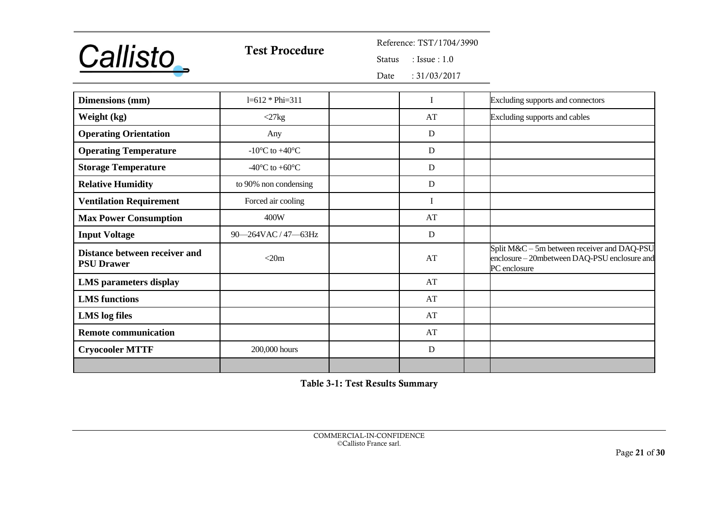

# Test Procedure<br>
Status
Status
Elssue: 1.0

 $: Issue : 1.0$ 

Date : 31/03/2017

| <b>Dimensions</b> (mm)                             | $1=612 * Phi=311$                            |    | Excluding supports and connectors                                                                           |
|----------------------------------------------------|----------------------------------------------|----|-------------------------------------------------------------------------------------------------------------|
| Weight (kg)                                        | $\langle 27kg \rangle$                       | AT | Excluding supports and cables                                                                               |
| <b>Operating Orientation</b>                       | Any                                          | D  |                                                                                                             |
| <b>Operating Temperature</b>                       | -10 $\rm{^{\circ}C}$ to +40 $\rm{^{\circ}C}$ | D  |                                                                                                             |
| <b>Storage Temperature</b>                         | -40 $\rm{^{\circ}C}$ to +60 $\rm{^{\circ}C}$ | D  |                                                                                                             |
| <b>Relative Humidity</b>                           | to 90% non condensing                        | D  |                                                                                                             |
| <b>Ventilation Requirement</b>                     | Forced air cooling                           |    |                                                                                                             |
| <b>Max Power Consumption</b>                       | 400W                                         | AT |                                                                                                             |
| <b>Input Voltage</b>                               | 90-264VAC / 47-63Hz                          | D  |                                                                                                             |
| Distance between receiver and<br><b>PSU Drawer</b> | $<$ 20m                                      | AT | Split M&C – 5m between receiver and DAQ-PSU<br>enclosure - 20mbetween DAQ-PSU enclosure and<br>PC enclosure |
| <b>LMS</b> parameters display                      |                                              | AT |                                                                                                             |
| <b>LMS</b> functions                               |                                              | AT |                                                                                                             |
| <b>LMS</b> log files                               |                                              | AT |                                                                                                             |
| <b>Remote communication</b>                        |                                              | AT |                                                                                                             |
| <b>Cryocooler MTTF</b>                             | 200,000 hours                                | D  |                                                                                                             |
|                                                    |                                              |    |                                                                                                             |

<span id="page-20-0"></span>Table 3-1: Test Results Summary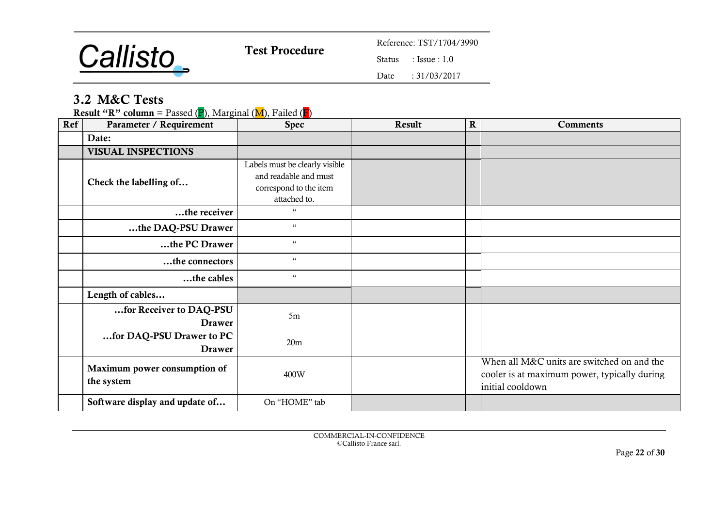

 $: Issue : 1.0$ 

Date : 31/03/2017

## 3.2 M&C Tests

**Result "R" column** = Passed (P), Marginal (M), Failed (F)

| Ref | Parameter / Requirement                    | <b>Spec</b>                                                                                       | Result | $\mathbf R$ | <b>Comments</b>                                                                                                |
|-----|--------------------------------------------|---------------------------------------------------------------------------------------------------|--------|-------------|----------------------------------------------------------------------------------------------------------------|
|     | Date:                                      |                                                                                                   |        |             |                                                                                                                |
|     | <b>VISUAL INSPECTIONS</b>                  |                                                                                                   |        |             |                                                                                                                |
|     | Check the labelling of                     | Labels must be clearly visible<br>and readable and must<br>correspond to the item<br>attached to. |        |             |                                                                                                                |
|     | the receiver                               | $\mathfrak{c}\mathfrak{c}$                                                                        |        |             |                                                                                                                |
|     | the DAQ-PSU Drawer                         | $\mathfrak{c}\mathfrak{c}$                                                                        |        |             |                                                                                                                |
|     | the PC Drawer                              | $\mathfrak{c}\mathfrak{c}$                                                                        |        |             |                                                                                                                |
|     | the connectors                             | $\mathfrak{c}\mathfrak{c}$                                                                        |        |             |                                                                                                                |
|     | the cables                                 | $\mathfrak{c}\mathfrak{c}$                                                                        |        |             |                                                                                                                |
|     | Length of cables                           |                                                                                                   |        |             |                                                                                                                |
|     | for Receiver to DAQ-PSU<br><b>Drawer</b>   | 5m                                                                                                |        |             |                                                                                                                |
|     | for DAQ-PSU Drawer to PC<br><b>Drawer</b>  | 20 <sub>m</sub>                                                                                   |        |             |                                                                                                                |
|     | Maximum power consumption of<br>the system | 400W                                                                                              |        |             | When all M&C units are switched on and the<br>cooler is at maximum power, typically during<br>initial cooldown |
|     | Software display and update of             | On "HOME" tab                                                                                     |        |             |                                                                                                                |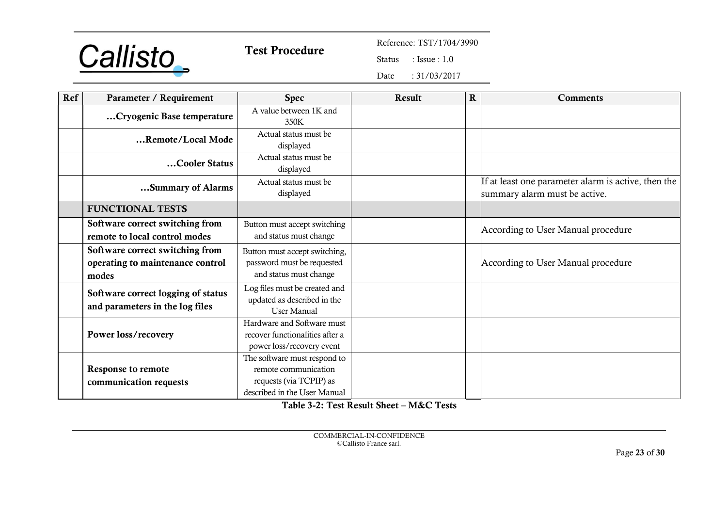

 $: Issue : 1.0$ 

Date : 31/03/2017

| Ref | Parameter / Requirement                                                      | <b>Spec</b>                                                                                                     | Result | $\mathbf R$ | <b>Comments</b>                                                                      |
|-----|------------------------------------------------------------------------------|-----------------------------------------------------------------------------------------------------------------|--------|-------------|--------------------------------------------------------------------------------------|
|     | Cryogenic Base temperature                                                   | A value between 1K and<br>350K                                                                                  |        |             |                                                                                      |
|     | Remote/Local Mode                                                            | Actual status must be<br>displayed                                                                              |        |             |                                                                                      |
|     | Cooler Status                                                                | Actual status must be<br>displayed                                                                              |        |             |                                                                                      |
|     | Summary of Alarms                                                            | Actual status must be<br>displayed                                                                              |        |             | If at least one parameter alarm is active, then the<br>summary alarm must be active. |
|     | <b>FUNCTIONAL TESTS</b>                                                      |                                                                                                                 |        |             |                                                                                      |
|     | Software correct switching from<br>remote to local control modes             | Button must accept switching<br>and status must change                                                          |        |             | According to User Manual procedure                                                   |
|     | Software correct switching from<br>operating to maintenance control<br>modes | Button must accept switching,<br>password must be requested<br>and status must change                           |        |             | According to User Manual procedure                                                   |
|     | Software correct logging of status<br>and parameters in the log files        | Log files must be created and<br>updated as described in the<br><b>User Manual</b>                              |        |             |                                                                                      |
|     | Power loss/recovery                                                          | Hardware and Software must<br>recover functionalities after a<br>power loss/recovery event                      |        |             |                                                                                      |
|     | <b>Response to remote</b><br>communication requests                          | The software must respond to<br>remote communication<br>requests (via TCPIP) as<br>described in the User Manual |        |             |                                                                                      |

<span id="page-22-0"></span>Table 3-2: Test Result Sheet – M&C Tests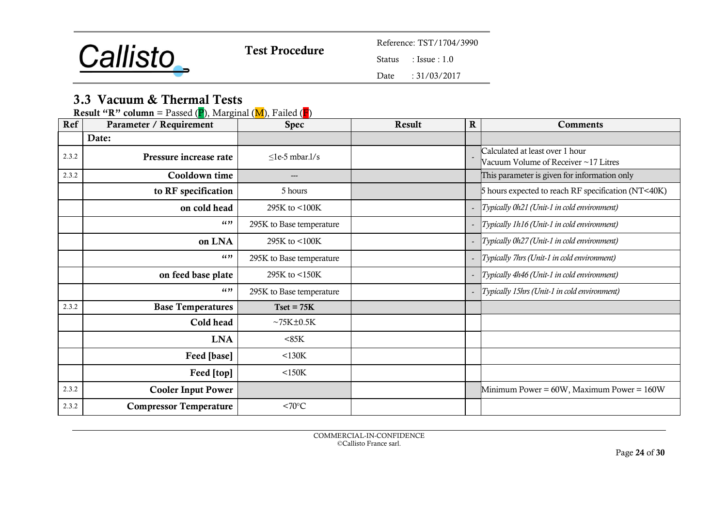

 $: Issue : 1.0$ 

Date : 31/03/2017

## 3.3 Vacuum & Thermal Tests

| Ref   | <b>Result "R" column</b> = Passed (P), Marginal (M), Failed (P)<br>Parameter / Requirement | <b>Spec</b>              | Result | ${\bf R}$ | <b>Comments</b>                                     |
|-------|--------------------------------------------------------------------------------------------|--------------------------|--------|-----------|-----------------------------------------------------|
|       |                                                                                            |                          |        |           |                                                     |
|       | Date:                                                                                      |                          |        |           |                                                     |
| 2.3.2 | Pressure increase rate                                                                     | $\leq$ le-5 mbar.l/s     |        |           | Calculated at least over 1 hour                     |
|       |                                                                                            |                          |        |           | Vacuum Volume of Receiver ~17 Litres                |
| 2.3.2 | Cooldown time                                                                              | ---                      |        |           | This parameter is given for information only        |
|       | to RF specification                                                                        | 5 hours                  |        |           | 5 hours expected to reach RF specification (NT<40K) |
|       | on cold head                                                                               | 295K to <100K            |        |           | - Typically 0h21 (Unit-1 in cold environment)       |
|       | (1)                                                                                        | 295K to Base temperature |        |           | Typically 1h16 (Unit-1 in cold environment)         |
|       | on LNA                                                                                     | 295K to <100K            |        |           | Typically 0h27 (Unit-1 in cold environment)         |
|       | (1)                                                                                        | 295K to Base temperature |        |           | Typically 7hrs (Unit-1 in cold environment)         |
|       | on feed base plate                                                                         | 295K to <150K            |        |           | Typically 4h46 (Unit-1 in cold environment)         |
|       | (1)                                                                                        | 295K to Base temperature |        |           | Typically 15hrs (Unit-1 in cold environment)        |
| 2.3.2 | <b>Base Temperatures</b>                                                                   | $Tset = 75K$             |        |           |                                                     |
|       | Cold head                                                                                  | $~\sim$ 75K $\pm$ 0.5K   |        |           |                                                     |
|       | <b>LNA</b>                                                                                 | $85K$                    |        |           |                                                     |
|       | Feed [base]                                                                                | $<$ 130 $K$              |        |           |                                                     |
|       | Feed [top]                                                                                 | $<$ 150 $K$              |        |           |                                                     |
| 2.3.2 | <b>Cooler Input Power</b>                                                                  |                          |        |           | Minimum Power = 60W, Maximum Power = 160W           |
| 2.3.2 | <b>Compressor Temperature</b>                                                              | $<70^{\circ}$ C          |        |           |                                                     |

**Result "R" column** = Passed ( $\bf{P}$ ), Marginal ( $\bf{M}$ ), Failed ( $\bf{F}$ )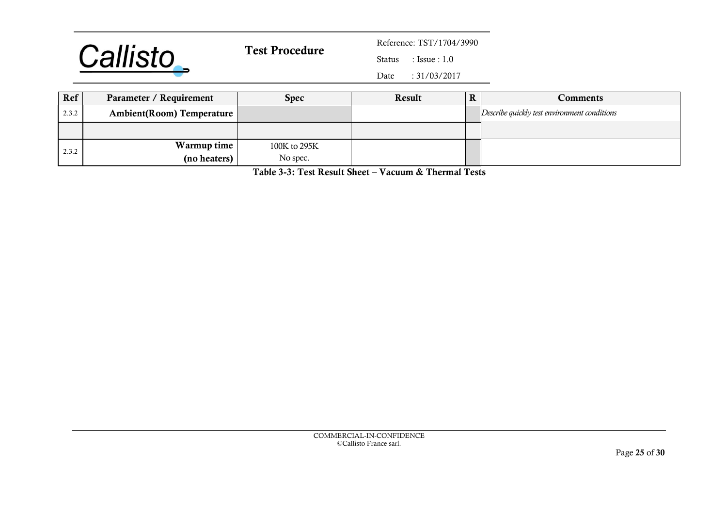

 $: Issue : 1.0$ 

Date : 31/03/2017

| Ref   | Parameter / Requirement   | Spec         | Result | Comments                                     |
|-------|---------------------------|--------------|--------|----------------------------------------------|
| 2.3.2 | Ambient(Room) Temperature |              |        | Describe quickly test environment conditions |
|       |                           |              |        |                                              |
| 2.3.2 | Warmup time               | 100K to 295K |        |                                              |
|       | (no heaters)              | No spec.     |        |                                              |

<span id="page-24-0"></span>Table 3-3: Test Result Sheet – Vacuum & Thermal Tests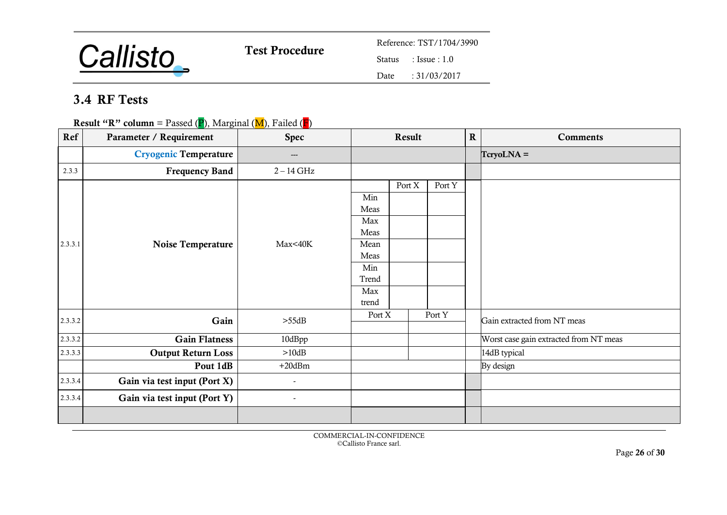

 $: Issue : 1.0$ 

Date : 31/03/2017

## 3.4 RF Tests

**Result "R" column** = Passed (P), Marginal (M), Failed (F)

| Ref     | Parameter / Requirement      | <b>Spec</b>              |                                                                            | Result |        | $\mathbf R$ | <b>Comments</b>                        |
|---------|------------------------------|--------------------------|----------------------------------------------------------------------------|--------|--------|-------------|----------------------------------------|
|         | <b>Cryogenic Temperature</b> | $\qquad \qquad -$        |                                                                            |        |        |             | $TcryoLNA =$                           |
| 2.3.3   | <b>Frequency Band</b>        | $2 - 14$ GHz             |                                                                            |        |        |             |                                        |
| 2.3.3.1 | Noise Temperature            | Max<40K                  | Min<br>Meas<br>Max<br>Meas<br>Mean<br>Meas<br>Min<br>Trend<br>Max<br>trend | Port X | Port Y |             |                                        |
| 2.3.3.2 | Gain                         | $>55\text{dB}$           | Port X                                                                     |        | Port Y |             | Gain extracted from NT meas            |
| 2.3.3.2 | <b>Gain Flatness</b>         | 10dBpp                   |                                                                            |        |        |             | Worst case gain extracted from NT meas |
| 2.3.3.3 | <b>Output Return Loss</b>    | >10dB                    |                                                                            |        |        |             | 14dB typical                           |
|         | Pout 1dB                     | $+20$ d $Bm$             |                                                                            |        |        |             | By design                              |
| 2.3.3.4 | Gain via test input (Port X) | $\overline{\phantom{a}}$ |                                                                            |        |        |             |                                        |
| 2.3.3.4 | Gain via test input (Port Y) | $\overline{\phantom{a}}$ |                                                                            |        |        |             |                                        |
|         |                              |                          |                                                                            |        |        |             |                                        |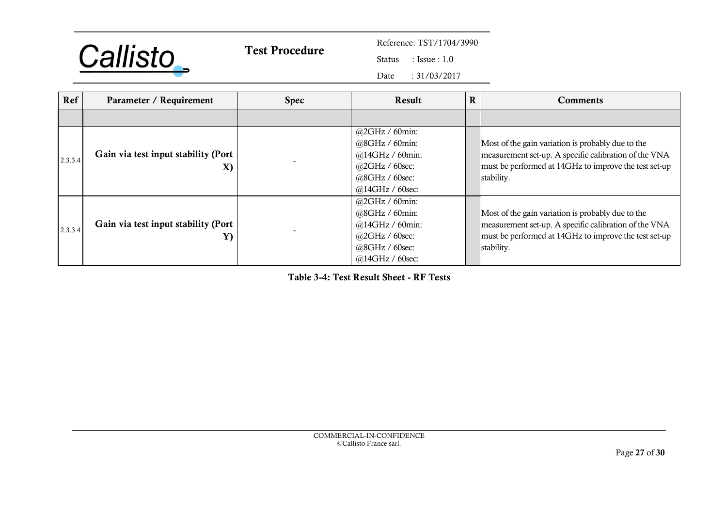

 $: Issue : 1.0$ 

Date : 31/03/2017

| Ref     | Parameter / Requirement                   | <b>Spec</b> | $\mathbf R$<br>Result                                                                                         |  | <b>Comments</b>                                                                                                                                                                   |
|---------|-------------------------------------------|-------------|---------------------------------------------------------------------------------------------------------------|--|-----------------------------------------------------------------------------------------------------------------------------------------------------------------------------------|
|         |                                           |             |                                                                                                               |  |                                                                                                                                                                                   |
| 2.3.3.4 | Gain via test input stability (Port<br>X) |             | $@2GHz / 60min$ :<br>$@8GHz/60min$ :<br>@14GHz / 60min:<br>@2GHz / 60sec<br>@8GHz / 60sec:<br>@14GHz / 60sec: |  | Most of the gain variation is probably due to the<br>measurement set-up. A specific calibration of the VNA<br>must be performed at 14GHz to improve the test set-up<br>stability. |
| 2.3.3.4 | Gain via test input stability (Port<br>Y) |             | $@2GHz / 60min$ :<br>$@8GHz/60min$ :<br>@14GHz / 60min:<br>@2GHz / 60sec<br>@8GHz / 60sec:<br>@14GHz / 60sec: |  | Most of the gain variation is probably due to the<br>measurement set-up. A specific calibration of the VNA<br>must be performed at 14GHz to improve the test set-up<br>stability. |

<span id="page-26-0"></span>Table 3-4: Test Result Sheet - RF Tests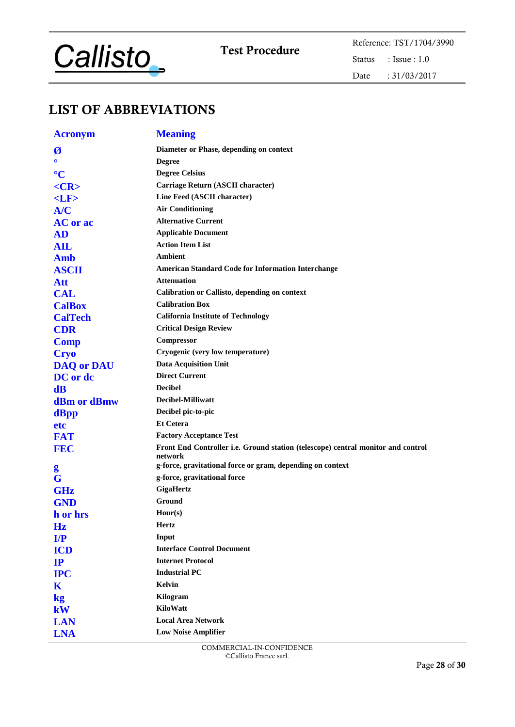

Test Procedure<br>
Status : Issue : 1.0 : Issue :  $1.0\,$ Date : 31/03/2017

## LIST OF ABBREVIATIONS

| <b>Acronym</b>    | <b>Meaning</b>                                                                   |
|-------------------|----------------------------------------------------------------------------------|
| Ø                 | Diameter or Phase, depending on context                                          |
| $\Omega$          | <b>Degree</b>                                                                    |
| $\rm ^{\circ}C$   | <b>Degree Celsius</b>                                                            |
| $<$ CR>           | Carriage Return (ASCII character)                                                |
| $<$ LF $>$        | Line Feed (ASCII character)                                                      |
| A/C               | <b>Air Conditioning</b>                                                          |
| <b>AC</b> or ac   | <b>Alternative Current</b>                                                       |
| <b>AD</b>         | <b>Applicable Document</b>                                                       |
| <b>AIL</b>        | <b>Action Item List</b>                                                          |
| <b>Amb</b>        | Ambient                                                                          |
| <b>ASCII</b>      | <b>American Standard Code for Information Interchange</b>                        |
| <b>Att</b>        | <b>Attenuation</b>                                                               |
| <b>CAL</b>        | Calibration or Callisto, depending on context                                    |
| <b>CalBox</b>     | <b>Calibration Box</b>                                                           |
| <b>CalTech</b>    | <b>California Institute of Technology</b>                                        |
| <b>CDR</b>        | <b>Critical Design Review</b>                                                    |
| <b>Comp</b>       | Compressor                                                                       |
| <b>Cryo</b>       | Cryogenic (very low temperature)                                                 |
| <b>DAQ or DAU</b> | <b>Data Acquisition Unit</b>                                                     |
| DC or dc          | <b>Direct Current</b>                                                            |
| $\mathbf{dB}$     | <b>Decibel</b>                                                                   |
| dBm or dBmw       | Decibel-Milliwatt                                                                |
| dBpp              | Decibel pic-to-pic                                                               |
| etc               | <b>Et Cetera</b>                                                                 |
| <b>FAT</b>        | <b>Factory Acceptance Test</b>                                                   |
| <b>FEC</b>        | Front End Controller i.e. Ground station (telescope) central monitor and control |
|                   | network<br>g-force, gravitational force or gram, depending on context            |
| g<br>G            | g-force, gravitational force                                                     |
| <b>GHz</b>        | <b>GigaHertz</b>                                                                 |
| <b>GND</b>        | Ground                                                                           |
| h or hrs          | Hour(s)                                                                          |
| Hz                | <b>Hertz</b>                                                                     |
| I/P               | Input                                                                            |
| <b>ICD</b>        | <b>Interface Control Document</b>                                                |
| IP                | <b>Internet Protocol</b>                                                         |
| <b>IPC</b>        | <b>Industrial PC</b>                                                             |
| K                 | Kelvin                                                                           |
| $\mathbf{kg}$     | Kilogram                                                                         |
| kW                | KiloWatt                                                                         |
| <b>LAN</b>        | <b>Local Area Network</b>                                                        |
| <b>LNA</b>        | <b>Low Noise Amplifier</b>                                                       |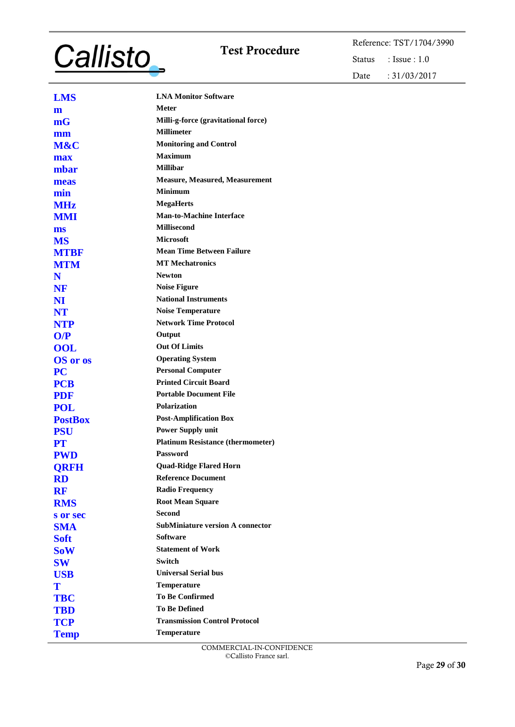# **Callisto**

Test Procedure<br>
Status : Issue : 1.0 : Issue :  $1.0$ Date : 31/03/2017

| <b>LMS</b>      | <b>LNA Monitor Software</b>              |
|-----------------|------------------------------------------|
| m               | <b>Meter</b>                             |
| mG              | Milli-g-force (gravitational force)      |
| mm              | <b>Millimeter</b>                        |
| M&C             | <b>Monitoring and Control</b>            |
| max             | <b>Maximum</b>                           |
| mbar            | <b>Millibar</b>                          |
| meas            | <b>Measure, Measured, Measurement</b>    |
| min             | <b>Minimum</b>                           |
| <b>MHz</b>      | <b>MegaHerts</b>                         |
| <b>MMI</b>      | <b>Man-to-Machine Interface</b>          |
| ms              | <b>Millisecond</b>                       |
| <b>MS</b>       | <b>Microsoft</b>                         |
| <b>MTBF</b>     | <b>Mean Time Between Failure</b>         |
| <b>MTM</b>      | <b>MT Mechatronics</b>                   |
| N               | <b>Newton</b>                            |
| NF              | <b>Noise Figure</b>                      |
| NI              | <b>National Instruments</b>              |
| <b>NT</b>       | <b>Noise Temperature</b>                 |
| <b>NTP</b>      | <b>Network Time Protocol</b>             |
| O/P             | Output                                   |
| <b>OOL</b>      | <b>Out Of Limits</b>                     |
| <b>OS</b> or os | <b>Operating System</b>                  |
| <b>PC</b>       | <b>Personal Computer</b>                 |
| <b>PCB</b>      | <b>Printed Circuit Board</b>             |
| <b>PDF</b>      | <b>Portable Document File</b>            |
| <b>POL</b>      | Polarization                             |
| <b>PostBox</b>  | <b>Post-Amplification Box</b>            |
| <b>PSU</b>      | <b>Power Supply unit</b>                 |
| <b>PT</b>       | <b>Platinum Resistance (thermometer)</b> |
| <b>PWD</b>      | <b>Password</b>                          |
| <b>ORFH</b>     | <b>Quad-Ridge Flared Horn</b>            |
| <b>RD</b>       | <b>Reference Document</b>                |
| <b>RF</b>       | <b>Radio Frequency</b>                   |
| <b>RMS</b>      | <b>Root Mean Square</b>                  |
| s or sec        | <b>Second</b>                            |
| <b>SMA</b>      | <b>SubMiniature version A connector</b>  |
| <b>Soft</b>     | <b>Software</b>                          |
| <b>SoW</b>      | <b>Statement of Work</b>                 |
| <b>SW</b>       | <b>Switch</b>                            |
| <b>USB</b>      | <b>Universal Serial bus</b>              |
| T               | Temperature                              |
| <b>TBC</b>      | <b>To Be Confirmed</b>                   |
| <b>TBD</b>      | <b>To Be Defined</b>                     |
| <b>TCP</b>      | <b>Transmission Control Protocol</b>     |
| <b>Temp</b>     | Temperature                              |